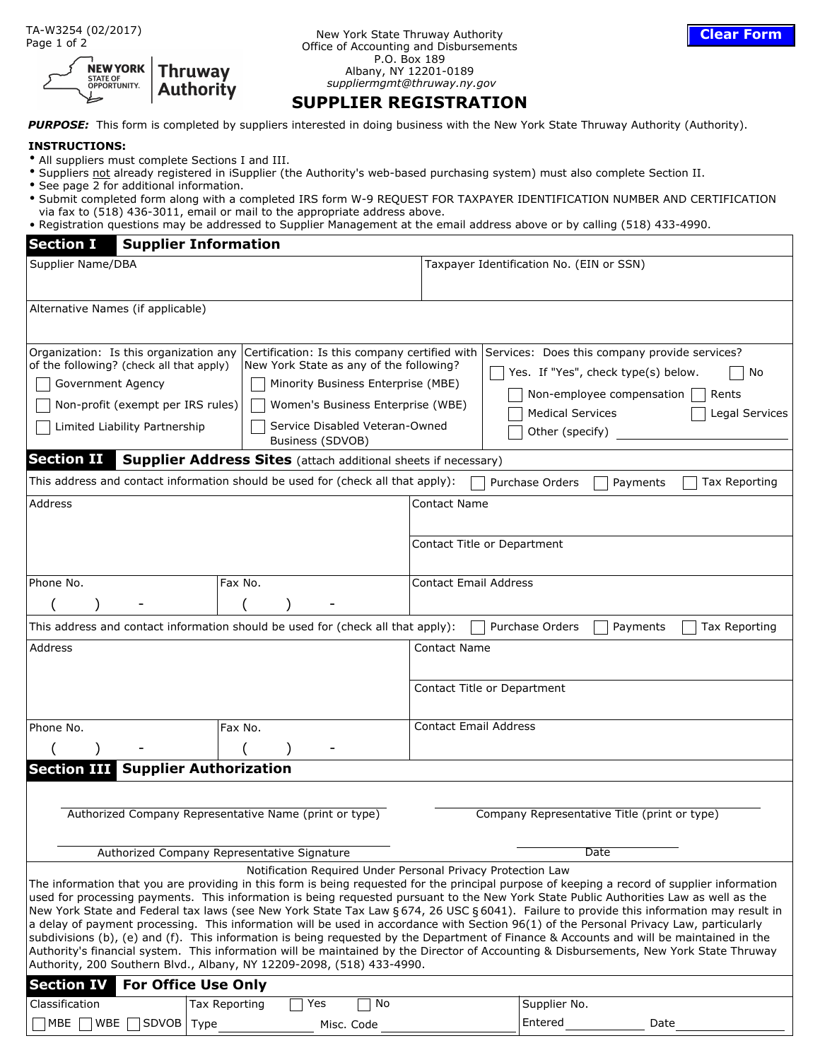| <b>NEW YORK   Thruway</b><br><b>Authority</b> |
|-----------------------------------------------|
|                                               |

New York State Thruway Authority Office of Accounting and Disbursements P.O. Box 189 Albany, NY 12201-0189  *suppliermgmt@thruway.ny.gov*

#### **SUPPLIER REGISTRATION**

PURPOSE: This form is completed by suppliers interested in doing business with the New York State Thruway Authority (Authority).

#### **INSTRUCTIONS:**

- All suppliers must complete Sections I and III.
- Suppliers not already registered in iSupplier (the Authority's web-based purchasing system) must also complete Section II.
- See page 2 for additional information.
- Submit completed form along with a completed IRS form W-9 REQUEST FOR TAXPAYER IDENTIFICATION NUMBER AND CERTIFICATION via fax to (518) 436-3011, email or mail to the appropriate address above.
- Registration questions may be addressed to Supplier Management at the email address above or by calling (518) 433-4990.

| <b>Section I</b><br><b>Supplier Information</b>                                                                                                                                                                                                                                                                                                                                                                                                                                                                                                                                             |                                                                                                                                                                                                                                                                                                                                                                                                                                                                                                                                                                                                                                                                                                                                                                                                                                                                      |  |
|---------------------------------------------------------------------------------------------------------------------------------------------------------------------------------------------------------------------------------------------------------------------------------------------------------------------------------------------------------------------------------------------------------------------------------------------------------------------------------------------------------------------------------------------------------------------------------------------|----------------------------------------------------------------------------------------------------------------------------------------------------------------------------------------------------------------------------------------------------------------------------------------------------------------------------------------------------------------------------------------------------------------------------------------------------------------------------------------------------------------------------------------------------------------------------------------------------------------------------------------------------------------------------------------------------------------------------------------------------------------------------------------------------------------------------------------------------------------------|--|
| Supplier Name/DBA                                                                                                                                                                                                                                                                                                                                                                                                                                                                                                                                                                           | Taxpayer Identification No. (EIN or SSN)                                                                                                                                                                                                                                                                                                                                                                                                                                                                                                                                                                                                                                                                                                                                                                                                                             |  |
| Alternative Names (if applicable)                                                                                                                                                                                                                                                                                                                                                                                                                                                                                                                                                           |                                                                                                                                                                                                                                                                                                                                                                                                                                                                                                                                                                                                                                                                                                                                                                                                                                                                      |  |
| Organization: Is this organization any<br>Certification: Is this company certified with<br>of the following? (check all that apply)<br>New York State as any of the following?<br>Minority Business Enterprise (MBE)<br>Government Agency<br>Non-profit (exempt per IRS rules)<br>Women's Business Enterprise (WBE)<br>Service Disabled Veteran-Owned<br>Limited Liability Partnership<br>Business (SDVOB)<br><b>Section II</b><br><b>Supplier Address Sites</b> (attach additional sheets if necessary)<br>This address and contact information should be used for (check all that apply): | Services: Does this company provide services?<br>Yes. If "Yes", check type(s) below.<br>No<br>Non-employee compensation<br>Rents<br><b>Medical Services</b><br>Legal Services<br>Other (specify)<br>Purchase Orders<br>Payments<br>Tax Reporting                                                                                                                                                                                                                                                                                                                                                                                                                                                                                                                                                                                                                     |  |
| Address                                                                                                                                                                                                                                                                                                                                                                                                                                                                                                                                                                                     | Contact Name                                                                                                                                                                                                                                                                                                                                                                                                                                                                                                                                                                                                                                                                                                                                                                                                                                                         |  |
|                                                                                                                                                                                                                                                                                                                                                                                                                                                                                                                                                                                             | Contact Title or Department                                                                                                                                                                                                                                                                                                                                                                                                                                                                                                                                                                                                                                                                                                                                                                                                                                          |  |
| Phone No.<br>Fax No.                                                                                                                                                                                                                                                                                                                                                                                                                                                                                                                                                                        | <b>Contact Email Address</b>                                                                                                                                                                                                                                                                                                                                                                                                                                                                                                                                                                                                                                                                                                                                                                                                                                         |  |
|                                                                                                                                                                                                                                                                                                                                                                                                                                                                                                                                                                                             |                                                                                                                                                                                                                                                                                                                                                                                                                                                                                                                                                                                                                                                                                                                                                                                                                                                                      |  |
| This address and contact information should be used for (check all that apply):<br>Purchase Orders<br>Payments<br>Tax Reporting                                                                                                                                                                                                                                                                                                                                                                                                                                                             |                                                                                                                                                                                                                                                                                                                                                                                                                                                                                                                                                                                                                                                                                                                                                                                                                                                                      |  |
| Address                                                                                                                                                                                                                                                                                                                                                                                                                                                                                                                                                                                     | <b>Contact Name</b><br>Contact Title or Department                                                                                                                                                                                                                                                                                                                                                                                                                                                                                                                                                                                                                                                                                                                                                                                                                   |  |
| Phone No.<br>Fax No.                                                                                                                                                                                                                                                                                                                                                                                                                                                                                                                                                                        | <b>Contact Email Address</b>                                                                                                                                                                                                                                                                                                                                                                                                                                                                                                                                                                                                                                                                                                                                                                                                                                         |  |
|                                                                                                                                                                                                                                                                                                                                                                                                                                                                                                                                                                                             |                                                                                                                                                                                                                                                                                                                                                                                                                                                                                                                                                                                                                                                                                                                                                                                                                                                                      |  |
| <b>Section III</b><br><b>Supplier Authorization</b>                                                                                                                                                                                                                                                                                                                                                                                                                                                                                                                                         |                                                                                                                                                                                                                                                                                                                                                                                                                                                                                                                                                                                                                                                                                                                                                                                                                                                                      |  |
| Authorized Company Representative Name (print or type)<br>Authorized Company Representative Signature                                                                                                                                                                                                                                                                                                                                                                                                                                                                                       | Company Representative Title (print or type)<br>Date                                                                                                                                                                                                                                                                                                                                                                                                                                                                                                                                                                                                                                                                                                                                                                                                                 |  |
|                                                                                                                                                                                                                                                                                                                                                                                                                                                                                                                                                                                             | Notification Required Under Personal Privacy Protection Law                                                                                                                                                                                                                                                                                                                                                                                                                                                                                                                                                                                                                                                                                                                                                                                                          |  |
| Authority, 200 Southern Blvd., Albany, NY 12209-2098, (518) 433-4990.                                                                                                                                                                                                                                                                                                                                                                                                                                                                                                                       | The information that you are providing in this form is being requested for the principal purpose of keeping a record of supplier information<br>used for processing payments. This information is being requested pursuant to the New York State Public Authorities Law as well as the<br>New York State and Federal tax laws (see New York State Tax Law § 674, 26 USC § 6041). Failure to provide this information may result in<br>a delay of payment processing. This information will be used in accordance with Section 96(1) of the Personal Privacy Law, particularly<br>subdivisions (b), (e) and (f). This information is being requested by the Department of Finance & Accounts and will be maintained in the<br>Authority's financial system. This information will be maintained by the Director of Accounting & Disbursements, New York State Thruway |  |
| <b>Section IV</b><br><b>For Office Use Only</b>                                                                                                                                                                                                                                                                                                                                                                                                                                                                                                                                             |                                                                                                                                                                                                                                                                                                                                                                                                                                                                                                                                                                                                                                                                                                                                                                                                                                                                      |  |
| <b>Tax Reporting</b><br>Classification<br>Yes                                                                                                                                                                                                                                                                                                                                                                                                                                                                                                                                               | Supplier No.<br>No                                                                                                                                                                                                                                                                                                                                                                                                                                                                                                                                                                                                                                                                                                                                                                                                                                                   |  |
| MBE   WBE  <br><b>SDVOB</b><br>Type<br>Misc. Code                                                                                                                                                                                                                                                                                                                                                                                                                                                                                                                                           | Entered<br>Date                                                                                                                                                                                                                                                                                                                                                                                                                                                                                                                                                                                                                                                                                                                                                                                                                                                      |  |